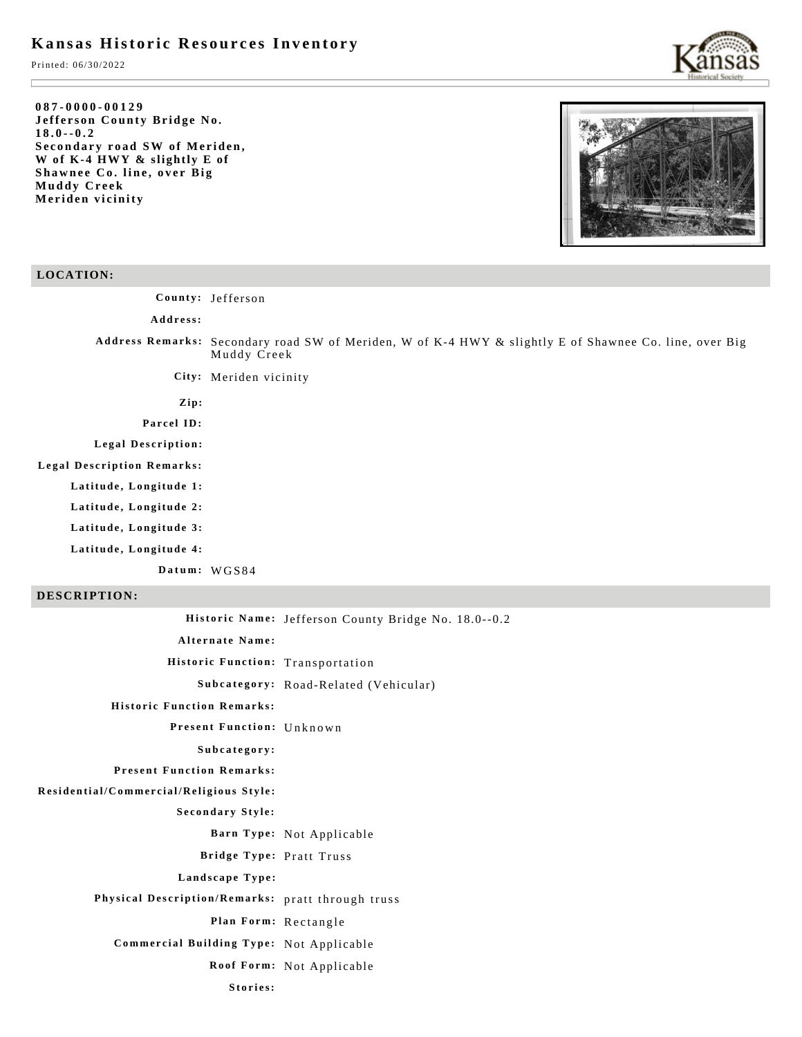# **Kansas Historic Resources Inventory**

Printed: 06/30/2022

#### **087-0000-00129 Jefferson County Bridge No. 18.0--0.2 Secondary road SW of Meriden, W of K-4 HWY & slightly E of Shawnee Co. line, over Big Muddy Creek Meriden vicinity**



## **LOCATION:**

**County:** Jefferson

- **Address:**
- **Address Remarks:** Secondary road SW of Meriden, W of K-4 HWY & slightly E of Shawnee Co. line, over Big Muddy Creek
	- **City:** Meriden vicinity
	- **Zip:**

## **Parcel ID:**

**Legal Description:**

- **Legal Description Remarks:**
	- **Latitude, Longitude 1:**
	- **Latitude, Longitude 2:**
	- **Latitude, Longitude 3:**
	- **Latitude, Longitude 4:**

**Datum:** WGS84

## **DESCRIPTION:**

|                                                   | Historic Name: Jefferson County Bridge No. 18.0--0.2 |
|---------------------------------------------------|------------------------------------------------------|
| <b>Alternate Name:</b>                            |                                                      |
| Historic Function: Transportation                 |                                                      |
|                                                   | Subcategory: Road-Related (Vehicular)                |
| <b>Historic Function Remarks:</b>                 |                                                      |
| Present Function: Unknown                         |                                                      |
| Subcategory:                                      |                                                      |
| <b>Present Function Remarks:</b>                  |                                                      |
| Residential/Commercial/Religious Style:           |                                                      |
| <b>Secondary Style:</b>                           |                                                      |
|                                                   | Barn Type: Not Applicable                            |
| Bridge Type: Pratt Truss                          |                                                      |
| Landscape Type:                                   |                                                      |
| Physical Description/Remarks: pratt through truss |                                                      |
| Plan Form: Rectangle                              |                                                      |
| Commercial Building Type: Not Applicable          |                                                      |
|                                                   | Roof Form: Not Applicable                            |
| Stories:                                          |                                                      |
|                                                   |                                                      |